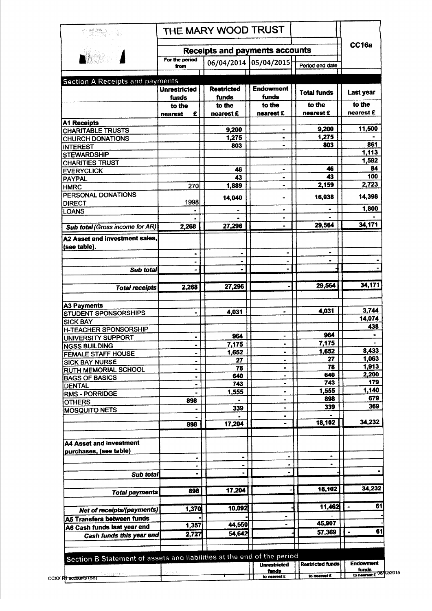| 数数                                                                     | THE MARY WOOD TRUST          |                            |                              |                         |                      |
|------------------------------------------------------------------------|------------------------------|----------------------------|------------------------------|-------------------------|----------------------|
| <b>Receipts and payments accounts</b>                                  |                              |                            |                              |                         | CC16a                |
|                                                                        | For the period<br>from       | 06/04/2014 05/04/2015      |                              | Period end date         |                      |
| <b>Section A Receipts and payments</b>                                 |                              |                            |                              |                         |                      |
|                                                                        | <b>Unrestricted</b><br>funds | <b>Restricted</b><br>funds | <b>Endowment</b><br>funds    | <b>Total funds</b>      | <b>Last year</b>     |
|                                                                        | to the<br>£<br>nearest       | to the<br>nearest £        | to the<br>nearest £          | to the<br>nearest £     | to the<br>nearest £  |
| <b>A1 Receipts</b>                                                     |                              |                            |                              |                         |                      |
| <b>CHARITABLE TRUSTS</b>                                               |                              | 9,200<br>1,275             | $\blacksquare$               | 9,200<br>1,275          | 11,500               |
| <b>CHURCH DONATIONS</b>                                                |                              | 803                        |                              | 803                     | 861                  |
| <b>INTEREST</b><br><b>STEWARDSHIP</b>                                  |                              |                            |                              |                         | 1,113                |
| <b>CHARITIES TRUST</b>                                                 |                              |                            |                              |                         | 1,592                |
| <b>EVERYCLICK</b>                                                      |                              | 46                         | $\bullet$                    | 46                      | 84                   |
| <b>PAYPAL</b>                                                          |                              | 43                         | $\blacksquare$               | 43                      | 100                  |
| <b>HMRC</b>                                                            | 270                          | 1,889                      | $\blacksquare$               | 2,159                   | 2,723                |
| PERSONAL DONATIONS<br><b>DIRECT</b>                                    | 1998                         | 14,040                     |                              | 16,038                  | 14,398               |
| LOANS                                                                  |                              |                            |                              |                         | 1,800                |
|                                                                        |                              |                            | ۰                            |                         |                      |
| Sub total (Gross income for AR)                                        | 2,268                        | 27,296                     |                              | 29,564                  | 34,171               |
| A2 Asset and investment sales,<br>(see table).                         |                              |                            |                              |                         |                      |
|                                                                        | $\blacksquare$               |                            | $\blacksquare$               |                         |                      |
|                                                                        | $\blacksquare$               | $\blacksquare$             |                              |                         |                      |
| Sub total                                                              |                              |                            |                              |                         |                      |
| <b>Total receipts</b>                                                  | 2,268                        | 27,296                     |                              | 29,564                  | 34,171               |
|                                                                        |                              |                            |                              |                         |                      |
| <b>A3 Payments</b>                                                     |                              |                            |                              |                         |                      |
| <b>STUDENT SPONSORSHIPS</b>                                            |                              | 4,031                      |                              | 4,031                   | 3,744<br>14,074      |
| <b>SICK BAY</b>                                                        |                              |                            |                              |                         | 438                  |
| <b>H-TEACHER SPONSORSHIP</b>                                           |                              | 964                        | ۰                            | 964                     |                      |
| UNIVERSITY SUPPORT                                                     |                              | 7,175                      |                              | 7,175                   |                      |
| <b>NGSS BUILDING</b><br><b>FEMALE STAFF HOUSE</b>                      |                              | 1,652                      | $\qquad \qquad \blacksquare$ | 1,652                   | 8,433                |
| <b>SICK BAY NURSE</b>                                                  |                              | 27                         | $\blacksquare$               | 27                      | 1,063                |
| RUTH MEMORIAL SCHOOL                                                   |                              | 78                         | ٠                            | 78                      | 1,913                |
| <b>BAGS OF BASICS</b>                                                  | ٠                            | 640                        | $\blacksquare$               | 640                     | 2,200                |
| <b>DENTAL</b>                                                          | -                            | 743                        | $\blacksquare$               | 743                     | 179                  |
| <b>RMS - PORRIDGE</b>                                                  |                              | 1,555                      | $\blacksquare$               | 1,555                   | 1,140                |
| <b>OTHERS</b>                                                          | 898                          |                            | ۰                            | 898                     | 679<br>369           |
| <b>MOSQUITO NETS</b>                                                   |                              | 339                        | ۰<br>$\bullet$               | 339                     |                      |
|                                                                        | 898                          | 17,204                     |                              | 18,102                  | 34,232               |
| A4 Asset and investment                                                |                              |                            |                              |                         |                      |
| purchases, (see table)                                                 |                              |                            |                              |                         |                      |
|                                                                        |                              | ٠                          |                              | $\blacksquare$          |                      |
|                                                                        | $\blacksquare$               | $\blacksquare$             |                              |                         |                      |
| Sub total                                                              |                              |                            |                              |                         |                      |
|                                                                        |                              |                            |                              |                         | 34,232               |
|                                                                        | 898                          | 17,204                     |                              | 18,102                  |                      |
| <b>Total payments</b>                                                  |                              |                            |                              |                         |                      |
|                                                                        |                              |                            |                              |                         | 61<br>$\blacksquare$ |
| Net of receipts/(payments)                                             | 1,370                        | 10,092                     |                              | 11,462                  |                      |
|                                                                        |                              |                            | $\blacksquare$               |                         |                      |
| A6 Cash funds last year end                                            | 1,357                        | 44,550                     |                              | 45,907                  |                      |
| <b>Cash funds this year end</b>                                        | 2,727                        | 54,642                     |                              | 57,369                  | $\bullet$            |
| <b>A5 Transfers between funds</b>                                      |                              |                            |                              |                         | 61                   |
| Section B Statement of assets and liabilities at the end of the period |                              |                            | <b>Unrestricted</b>          | <b>Restricted funds</b> | <b>Endowment</b>     |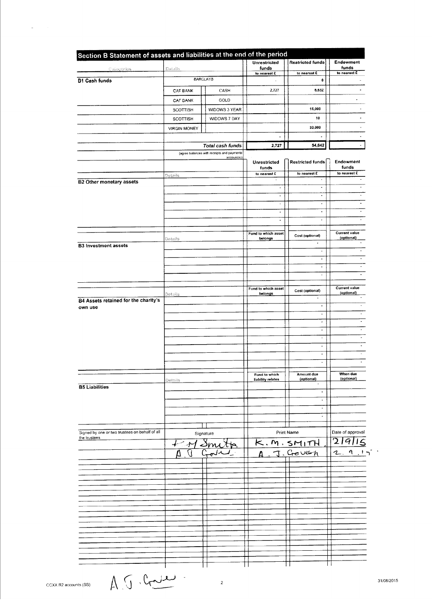| Categorios                                                                  | Datalis             |                                            | <b>Unrestricted</b><br>funds<br>to nearest £ | <b>Restricted funds</b>                          | Endowment<br>funds                 |
|-----------------------------------------------------------------------------|---------------------|--------------------------------------------|----------------------------------------------|--------------------------------------------------|------------------------------------|
|                                                                             |                     |                                            |                                              | to nearest £                                     | to nearest £                       |
| <b>B1 Cash funds</b>                                                        |                     | <b>BARCLAYS</b>                            |                                              | 0                                                |                                    |
|                                                                             | <b>CAF BANK</b>     | CASH                                       | 2,727                                        | 6,632                                            |                                    |
|                                                                             | CAF BANK            | GOLD                                       |                                              |                                                  |                                    |
|                                                                             | <b>SCOTTISH</b>     | WIDOWS 3 YEAR                              |                                              | 15,000                                           |                                    |
|                                                                             | <b>SCOTTISH</b>     | WIDOWS 7 DAY                               |                                              | 10                                               |                                    |
|                                                                             | <b>VIRGIN MONEY</b> |                                            |                                              | 33,000                                           |                                    |
|                                                                             |                     |                                            | Ĭ.                                           |                                                  |                                    |
|                                                                             |                     | Total cash funds                           | 2,727                                        | 54,642                                           |                                    |
|                                                                             |                     | (agree balances with receipts and payments |                                              |                                                  |                                    |
|                                                                             |                     | account(s))                                | Unrestricted                                 | <b>Restricted funds</b>                          | Endowment                          |
|                                                                             |                     |                                            | funds<br>to nearest £                        | to nearest £                                     | funds<br>to nearest £              |
| <b>B2 Other monetary assets</b>                                             | Details             |                                            | $\sim$                                       | $\blacksquare$                                   |                                    |
|                                                                             |                     |                                            | $\bullet$                                    | $\blacksquare$                                   |                                    |
|                                                                             |                     |                                            | $\blacksquare$                               | $\blacksquare$                                   |                                    |
|                                                                             |                     |                                            | $\overline{\phantom{a}}$                     | $\overline{\phantom{a}}$                         |                                    |
|                                                                             |                     |                                            | ä,                                           | $\blacksquare$                                   |                                    |
|                                                                             |                     |                                            | ٠                                            | $\blacksquare$                                   |                                    |
|                                                                             |                     |                                            | Fund to which asset                          |                                                  | <b>Current value</b>               |
|                                                                             | <b>Details</b>      |                                            | belongs                                      | Cost (optional)<br>$\blacksquare$                | (optional)                         |
| <b>B3 Investment assets</b>                                                 |                     |                                            |                                              | $\overline{\phantom{a}}$                         |                                    |
|                                                                             |                     |                                            |                                              | $\ddot{\phantom{0}}$                             |                                    |
|                                                                             |                     |                                            |                                              | $\bullet$                                        |                                    |
|                                                                             |                     |                                            |                                              | $\overline{\phantom{a}}$                         |                                    |
|                                                                             |                     |                                            |                                              |                                                  |                                    |
|                                                                             | Details             |                                            | Fund to which asset<br>belongs               | Cost (optional)                                  | <b>Current value</b><br>(optional) |
| <b>B4 Assets retained for the charity's</b>                                 |                     |                                            |                                              | $\blacksquare$                                   |                                    |
| own use                                                                     |                     |                                            |                                              | $\bullet$                                        |                                    |
|                                                                             |                     |                                            |                                              | $\overline{\phantom{a}}$                         |                                    |
|                                                                             |                     |                                            |                                              | ä,                                               |                                    |
|                                                                             |                     |                                            |                                              | $\blacksquare$                                   |                                    |
|                                                                             |                     |                                            |                                              | $\overline{\phantom{a}}$<br>$\ddot{\phantom{0}}$ |                                    |
|                                                                             |                     |                                            |                                              | $\blacksquare$                                   |                                    |
|                                                                             |                     |                                            |                                              | $\ddot{\phantom{a}}$                             |                                    |
|                                                                             |                     |                                            |                                              |                                                  |                                    |
|                                                                             | Details             |                                            | Fund to which<br>liability relates           | Amount due<br>(optional)                         | When due<br>(optional)             |
| <b>B5 Liabilities</b>                                                       |                     |                                            |                                              |                                                  |                                    |
|                                                                             |                     |                                            |                                              | $\overline{\phantom{a}}$                         |                                    |
|                                                                             |                     |                                            |                                              | $\blacksquare$                                   |                                    |
|                                                                             |                     |                                            |                                              | $\overline{\phantom{a}}$                         |                                    |
|                                                                             |                     |                                            |                                              | $\blacksquare$                                   |                                    |
|                                                                             |                     |                                            | Print Name                                   |                                                  | Date of approval                   |
| Signed by one or two trustees on behalf of all<br>Signature<br>the trustees |                     |                                            |                                              |                                                  | 2 9 15                             |
|                                                                             | Smi                 |                                            | K. M. SMITH                                  |                                                  |                                    |
|                                                                             |                     |                                            | Δ.                                           | J.Gouch                                          | 2.9                                |
|                                                                             |                     |                                            |                                              |                                                  |                                    |
|                                                                             |                     |                                            |                                              |                                                  |                                    |
|                                                                             |                     |                                            |                                              |                                                  |                                    |
|                                                                             |                     |                                            |                                              |                                                  |                                    |
|                                                                             |                     |                                            |                                              |                                                  |                                    |
|                                                                             |                     |                                            |                                              |                                                  |                                    |
|                                                                             |                     |                                            |                                              |                                                  |                                    |
|                                                                             |                     |                                            |                                              |                                                  |                                    |
|                                                                             |                     |                                            |                                              |                                                  |                                    |
|                                                                             |                     |                                            |                                              |                                                  |                                    |
|                                                                             |                     |                                            |                                              |                                                  |                                    |
|                                                                             |                     |                                            |                                              |                                                  |                                    |
|                                                                             |                     |                                            |                                              |                                                  |                                    |

 $\mathcal{L}(\mathbf{z})$  , where  $\mathcal{L}(\mathbf{z})$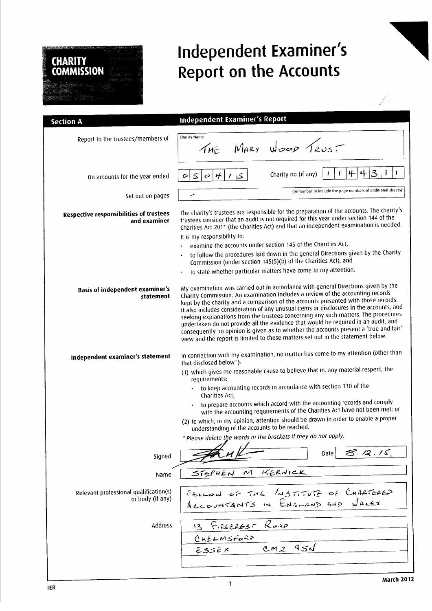# Independent Examiner's Report on the Accounts

| <b>Section A</b>                                           | <b>Independent Examiner's Report</b>                                                                                                                                                                                                                                                                                                                                                                                                                                                                                                                                                                                                                                                                         |
|------------------------------------------------------------|--------------------------------------------------------------------------------------------------------------------------------------------------------------------------------------------------------------------------------------------------------------------------------------------------------------------------------------------------------------------------------------------------------------------------------------------------------------------------------------------------------------------------------------------------------------------------------------------------------------------------------------------------------------------------------------------------------------|
| Report to the trustees/members of                          | Charity Name<br>THE MARY Wood TRUST                                                                                                                                                                                                                                                                                                                                                                                                                                                                                                                                                                                                                                                                          |
| On accounts for the year ended                             | 3<br>4<br>叶<br>Charity no (if any)<br>J<br>ک<br>$\leq$<br>#<br>$\ddot{\circ}$<br>$\mathcal{C}$                                                                                                                                                                                                                                                                                                                                                                                                                                                                                                                                                                                                               |
| Set out on pages                                           | (remember to include the page numbers of additional sheets)<br>س                                                                                                                                                                                                                                                                                                                                                                                                                                                                                                                                                                                                                                             |
| Respective responsibilities of trustees<br>and examiner    | The charity's trustees are responsible for the preparation of the accounts. The charity's<br>trustees consider that an audit is not required for this year under section 144 of the<br>Charities Act 2011 (the Charities Act) and that an independent examination is needed.<br>It is my responsibility to:<br>examine the accounts under section 145 of the Charities Act,                                                                                                                                                                                                                                                                                                                                  |
|                                                            | to follow the procedures laid down in the general Directions given by the Charity                                                                                                                                                                                                                                                                                                                                                                                                                                                                                                                                                                                                                            |
|                                                            | Commission (under section 145(5)(b) of the Charities Act), and                                                                                                                                                                                                                                                                                                                                                                                                                                                                                                                                                                                                                                               |
|                                                            | to state whether particular matters have come to my attention.                                                                                                                                                                                                                                                                                                                                                                                                                                                                                                                                                                                                                                               |
| <b>Basis of independent examiner's</b><br>statement        | My examination was carried out in accordance with general Directions given by the<br>Charity Commission. An examination includes a review of the accounting records<br>kept by the charity and a comparison of the accounts presented with those records.<br>It also includes consideration of any unusual items or disclosures in the accounts, and<br>seeking explanations from the trustees concerning any such matters. The procedures<br>undertaken do not provide all the evidence that would be required in an audit, and<br>consequently no opinion is given as to whether the accounts present a 'true and fair'<br>view and the report is limited to those matters set out in the statement below. |
| Independent examiner's statement                           | In connection with my examination, no matter has come to my attention (other than<br>that disclosed below"):                                                                                                                                                                                                                                                                                                                                                                                                                                                                                                                                                                                                 |
|                                                            | (1) which gives me reasonable cause to believe that in, any material respect, the<br>requirements:                                                                                                                                                                                                                                                                                                                                                                                                                                                                                                                                                                                                           |
|                                                            | · to keep accounting records in accordance with section 130 of the<br>Charities Act;                                                                                                                                                                                                                                                                                                                                                                                                                                                                                                                                                                                                                         |
|                                                            | to prepare accounts which accord with the accounting records and comply<br>with the accounting requirements of the Charities Act have not been met; or                                                                                                                                                                                                                                                                                                                                                                                                                                                                                                                                                       |
|                                                            | (2) to which, in my opinion, attention should be drawn in order to enable a proper<br>understanding of the accounts to be reached.                                                                                                                                                                                                                                                                                                                                                                                                                                                                                                                                                                           |
|                                                            | * Please delete the words in the brackets if they do not apply.                                                                                                                                                                                                                                                                                                                                                                                                                                                                                                                                                                                                                                              |
| Signed                                                     | 8.12.15<br>Date                                                                                                                                                                                                                                                                                                                                                                                                                                                                                                                                                                                                                                                                                              |
| Name                                                       | KERNICK<br>$\boldsymbol{\mathcal{M}}$<br>STEPHEN                                                                                                                                                                                                                                                                                                                                                                                                                                                                                                                                                                                                                                                             |
| Relevant professional qualification(s)<br>or body (if any) | FELLOW OF THE LOSTITUTE OF CHARTERED<br>Recountants in ENGLAND AND WALES                                                                                                                                                                                                                                                                                                                                                                                                                                                                                                                                                                                                                                     |
| Address                                                    | FIRECREST ROAD<br>13                                                                                                                                                                                                                                                                                                                                                                                                                                                                                                                                                                                                                                                                                         |
|                                                            | CHELMSFORD                                                                                                                                                                                                                                                                                                                                                                                                                                                                                                                                                                                                                                                                                                   |
|                                                            | 351<br>CM2<br>$E33E$ X                                                                                                                                                                                                                                                                                                                                                                                                                                                                                                                                                                                                                                                                                       |
|                                                            |                                                                                                                                                                                                                                                                                                                                                                                                                                                                                                                                                                                                                                                                                                              |
|                                                            |                                                                                                                                                                                                                                                                                                                                                                                                                                                                                                                                                                                                                                                                                                              |

**CHARITY<br>COMMISSION**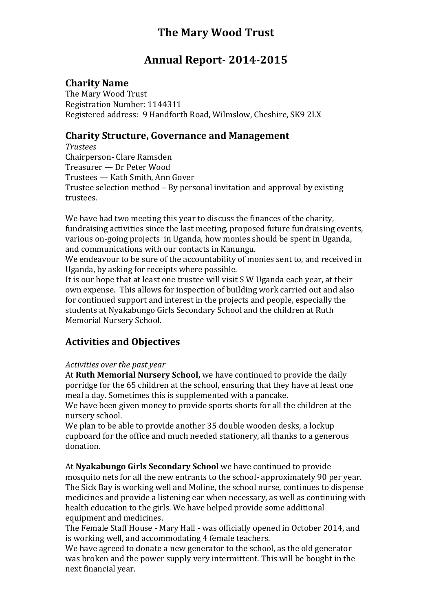# **The Mary Wood Trust**

# **Annual Report- 2014-2015**

## **Charity Name**

The Mary Wood Trust Registration Number: 1144311 Registered address: 9 Handforth Road, Wilmslow, Cheshire, SK9 2LX

## **Charity Structure, Governance and Management**

*Trustees*  Chairperson- Clare Ramsden Treasurer — Dr Peter Wood Trustees — Kath Smith, Ann Gover Trustee selection method – By personal invitation and approval by existing trustees.

We have had two meeting this year to discuss the finances of the charity, fundraising activities since the last meeting, proposed future fundraising events, various on-going projects in Uganda, how monies should be spent in Uganda, and communications with our contacts in Kanungu.

We endeavour to be sure of the accountability of monies sent to, and received in Uganda, by asking for receipts where possible.

It is our hope that at least one trustee will visit S W Uganda each year, at their own expense. This allows for inspection of building work carried out and also for continued support and interest in the projects and people, especially the students at Nyakabungo Girls Secondary School and the children at Ruth Memorial Nursery School.

## **Activities and Objectives**

#### *Activities over the past year*

At **Ruth Memorial Nursery School,** we have continued to provide the daily porridge for the 65 children at the school, ensuring that they have at least one meal a day. Sometimes this is supplemented with a pancake.

We have been given money to provide sports shorts for all the children at the nursery school.

We plan to be able to provide another 35 double wooden desks, a lockup cupboard for the office and much needed stationery, all thanks to a generous donation.

At **Nyakabungo Girls Secondary School** we have continued to provide mosquito nets for all the new entrants to the school- approximately 90 per year. The Sick Bay is working well and Moline, the school nurse, continues to dispense medicines and provide a listening ear when necessary, as well as continuing with health education to the girls. We have helped provide some additional equipment and medicines.

The Female Staff House - Mary Hall - was officially opened in October 2014, and is working well, and accommodating 4 female teachers.

We have agreed to donate a new generator to the school, as the old generator was broken and the power supply very intermittent. This will be bought in the next financial year.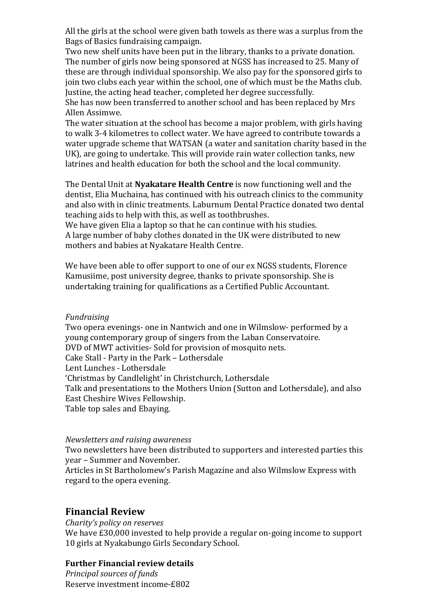All the girls at the school were given bath towels as there was a surplus from the Bags of Basics fundraising campaign.

Two new shelf units have been put in the library, thanks to a private donation. The number of girls now being sponsored at NGSS has increased to 25. Many of these are through individual sponsorship. We also pay for the sponsored girls to join two clubs each year within the school, one of which must be the Maths club. Justine, the acting head teacher, completed her degree successfully.

She has now been transferred to another school and has been replaced by Mrs Allen Assimwe.

The water situation at the school has become a major problem, with girls having to walk 3-4 kilometres to collect water. We have agreed to contribute towards a water upgrade scheme that WATSAN (a water and sanitation charity based in the UK), are going to undertake. This will provide rain water collection tanks, new latrines and health education for both the school and the local community.

The Dental Unit at **Nyakatare Health Centre** is now functioning well and the dentist, Elia Muchaina, has continued with his outreach clinics to the community and also with in clinic treatments. Laburnum Dental Practice donated two dental teaching aids to help with this, as well as toothbrushes.

We have given Elia a laptop so that he can continue with his studies. A large number of baby clothes donated in the UK were distributed to new mothers and babies at Nyakatare Health Centre.

We have been able to offer support to one of our ex NGSS students, Florence Kamusiime, post university degree, thanks to private sponsorship. She is undertaking training for qualifications as a Certified Public Accountant.

#### *Fundraising*

Two opera evenings- one in Nantwich and one in Wilmslow- performed by a young contemporary group of singers from the Laban Conservatoire. DVD of MWT activities- Sold for provision of mosquito nets. Cake Stall - Party in the Park – Lothersdale Lent Lunches - Lothersdale 'Christmas by Candlelight' in Christchurch, Lothersdale Talk and presentations to the Mothers Union (Sutton and Lothersdale), and also East Cheshire Wives Fellowship. Table top sales and Ebaying.

#### *Newsletters and raising awareness*

Two newsletters have been distributed to supporters and interested parties this year – Summer and November.

Articles in St Bartholomew's Parish Magazine and also Wilmslow Express with regard to the opera evening.

## **Financial Review**

*Charity's policy on reserves*

We have £30,000 invested to help provide a regular on-going income to support 10 girls at Nyakabungo Girls Secondary School.

#### **Further Financial review details**

*Principal sources of funds*  Reserve investment income-£802